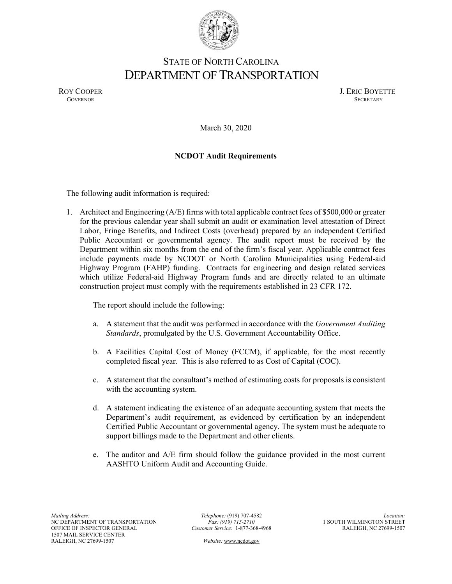

## STATE OF NORTH CAROLINA DEPARTMENT OF TRANSPORTATION

ROY COOPER J. ERIC BOYETTE GOVERNOR SECRETARY GOVERNOR SECRETARY SECRETARY SECRETARY SECRETARY SECRETARY SECRETARY SECRETARY SECRETARY

March 30, 2020

## **NCDOT Audit Requirements**

The following audit information is required:

1. Architect and Engineering (A/E) firms with total applicable contract fees of \$500,000 or greater for the previous calendar year shall submit an audit or examination level attestation of Direct Labor, Fringe Benefits, and Indirect Costs (overhead) prepared by an independent Certified Public Accountant or governmental agency. The audit report must be received by the Department within six months from the end of the firm's fiscal year. Applicable contract fees include payments made by NCDOT or North Carolina Municipalities using Federal-aid Highway Program (FAHP) funding. Contracts for engineering and design related services which utilize Federal-aid Highway Program funds and are directly related to an ultimate construction project must comply with the requirements established in 23 CFR 172.

The report should include the following:

- a. A statement that the audit was performed in accordance with the *Government Auditing Standards*, promulgated by the U.S. Government Accountability Office.
- b. A Facilities Capital Cost of Money (FCCM), if applicable, for the most recently completed fiscal year. This is also referred to as Cost of Capital (COC).
- c. A statement that the consultant's method of estimating costs for proposals is consistent with the accounting system.
- d. A statement indicating the existence of an adequate accounting system that meets the Department's audit requirement, as evidenced by certification by an independent Certified Public Accountant or governmental agency. The system must be adequate to support billings made to the Department and other clients.
- e. The auditor and A/E firm should follow the guidance provided in the most current AASHTO Uniform Audit and Accounting Guide.

*Telephone:* (919) 707-4582 *Fax: (919) 715-2710 Customer Service:* 1-877-368-4968

 *Website:* [www.ncdot.gov](http://www.ncdot.gov/)